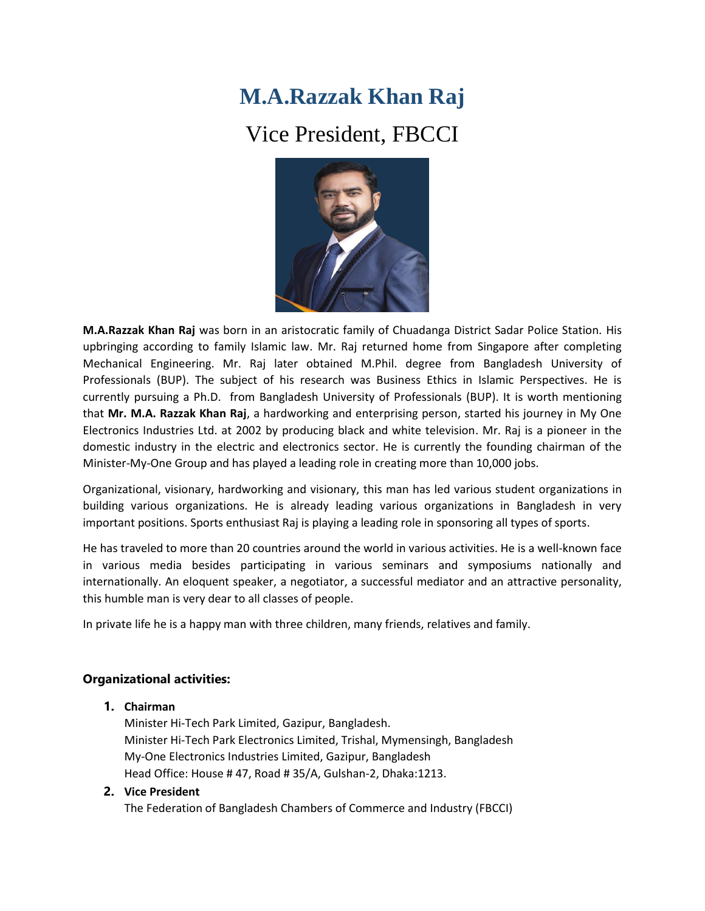## **M.A.Razzak Khan Raj**

## Vice President, FBCCI



**M.A.Razzak Khan Raj** was born in an aristocratic family of Chuadanga District Sadar Police Station. His upbringing according to family Islamic law. Mr. Raj returned home from Singapore after completing Mechanical Engineering. Mr. Raj later obtained M.Phil. degree from Bangladesh University of Professionals (BUP). The subject of his research was Business Ethics in Islamic Perspectives. He is currently pursuing a Ph.D. from Bangladesh University of Professionals (BUP). It is worth mentioning that **Mr. M.A. Razzak Khan Raj**, a hardworking and enterprising person, started his journey in My One Electronics Industries Ltd. at 2002 by producing black and white television. Mr. Raj is a pioneer in the domestic industry in the electric and electronics sector. He is currently the founding chairman of the Minister-My-One Group and has played a leading role in creating more than 10,000 jobs.

Organizational, visionary, hardworking and visionary, this man has led various student organizations in building various organizations. He is already leading various organizations in Bangladesh in very important positions. Sports enthusiast Raj is playing a leading role in sponsoring all types of sports.

He has traveled to more than 20 countries around the world in various activities. He is a well-known face in various media besides participating in various seminars and symposiums nationally and internationally. An eloquent speaker, a negotiator, a successful mediator and an attractive personality, this humble man is very dear to all classes of people.

In private life he is a happy man with three children, many friends, relatives and family.

## **Organizational activities:**

## **1. Chairman**

Minister Hi-Tech Park Limited, Gazipur, Bangladesh. Minister Hi-Tech Park Electronics Limited, Trishal, Mymensingh, Bangladesh My-One Electronics Industries Limited, Gazipur, Bangladesh Head Office: House # 47, Road # 35/A, Gulshan-2, Dhaka:1213.

**2. Vice President** 

The Federation of Bangladesh Chambers of Commerce and Industry (FBCCI)